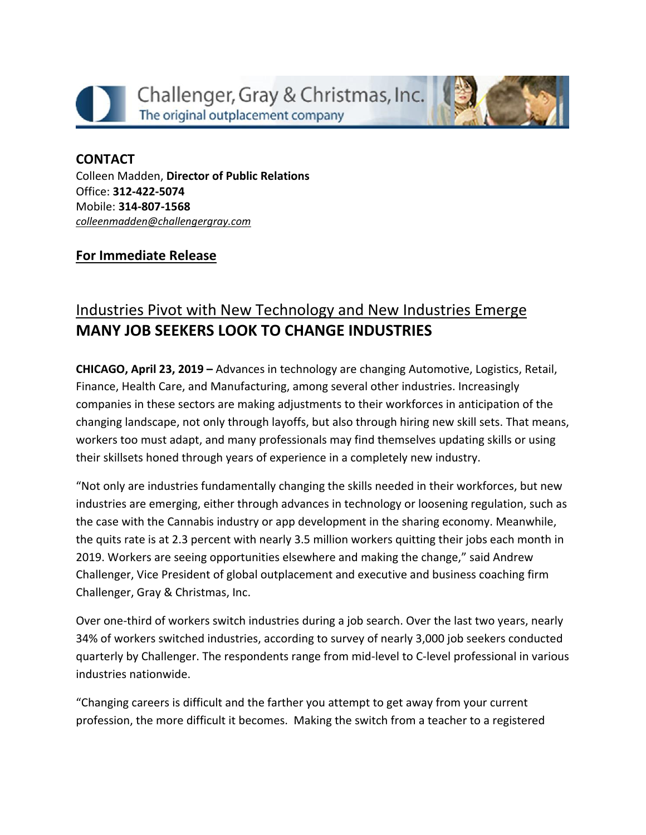



## **CONTACT** Colleen Madden, **Director of Public Relations** Office: **312-422-5074** Mobile: **314-807-1568** *[colleenmadden@challengergray.com](mailto:colleenmadden@challengergray.com)*

## **For Immediate Release**

## Industries Pivot with New Technology and New Industries Emerge **MANY JOB SEEKERS LOOK TO CHANGE INDUSTRIES**

**CHICAGO, April 23, 2019 –** Advances in technology are changing Automotive, Logistics, Retail, Finance, Health Care, and Manufacturing, among several other industries. Increasingly companies in these sectors are making adjustments to their workforces in anticipation of the changing landscape, not only through layoffs, but also through hiring new skill sets. That means, workers too must adapt, and many professionals may find themselves updating skills or using their skillsets honed through years of experience in a completely new industry.

"Not only are industries fundamentally changing the skills needed in their workforces, but new industries are emerging, either through advances in technology or loosening regulation, such as the case with the Cannabis industry or app development in the sharing economy. Meanwhile, the quits rate is at 2.3 percent with nearly 3.5 million workers quitting their jobs each month in 2019. Workers are seeing opportunities elsewhere and making the change," said Andrew Challenger, Vice President of global outplacement and executive and business coaching firm Challenger, Gray & Christmas, Inc.

Over one-third of workers switch industries during a job search. Over the last two years, nearly 34% of workers switched industries, according to survey of nearly 3,000 job seekers conducted quarterly by Challenger. The respondents range from mid-level to C-level professional in various industries nationwide.

"Changing careers is difficult and the farther you attempt to get away from your current profession, the more difficult it becomes. Making the switch from a teacher to a registered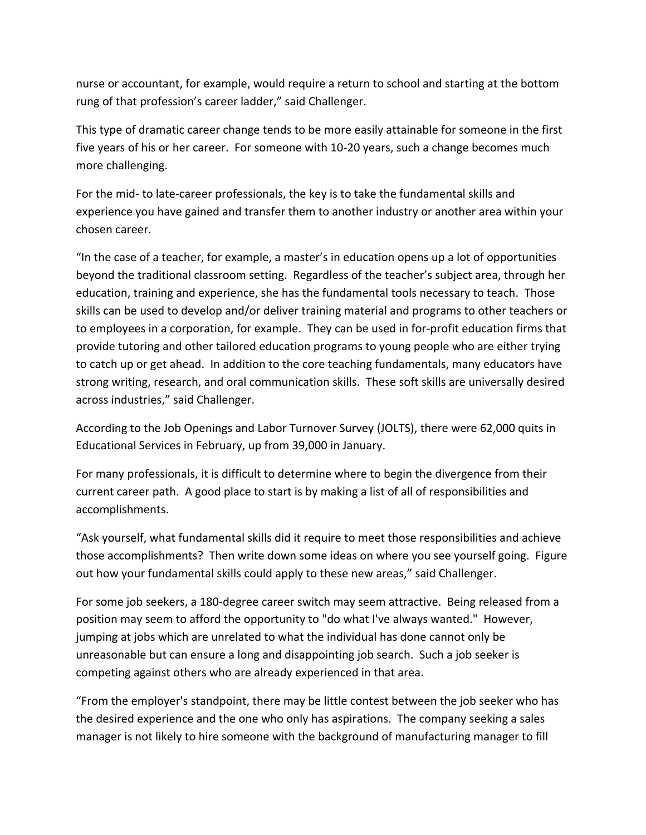nurse or accountant, for example, would require a return to school and starting at the bottom rung of that profession's career ladder," said Challenger.

This type of dramatic career change tends to be more easily attainable for someone in the first five years of his or her career. For someone with 10-20 years, such a change becomes much more challenging.

For the mid- to late-career professionals, the key is to take the fundamental skills and experience you have gained and transfer them to another industry or another area within your chosen career.

"In the case of a teacher, for example, a master's in education opens up a lot of opportunities beyond the traditional classroom setting. Regardless of the teacher's subject area, through her education, training and experience, she has the fundamental tools necessary to teach. Those skills can be used to develop and/or deliver training material and programs to other teachers or to employees in a corporation, for example. They can be used in for-profit education firms that provide tutoring and other tailored education programs to young people who are either trying to catch up or get ahead. In addition to the core teaching fundamentals, many educators have strong writing, research, and oral communication skills. These soft skills are universally desired across industries," said Challenger.

According to the Job Openings and Labor Turnover Survey (JOLTS), there were 62,000 quits in Educational Services in February, up from 39,000 in January.

For many professionals, it is difficult to determine where to begin the divergence from their current career path. A good place to start is by making a list of all of responsibilities and accomplishments.

"Ask yourself, what fundamental skills did it require to meet those responsibilities and achieve those accomplishments? Then write down some ideas on where you see yourself going. Figure out how your fundamental skills could apply to these new areas," said Challenger.

For some job seekers, a 180-degree career switch may seem attractive. Being released from a position may seem to afford the opportunity to "do what I've always wanted." However, jumping at jobs which are unrelated to what the individual has done cannot only be unreasonable but can ensure a long and disappointing job search. Such a job seeker is competing against others who are already experienced in that area.

"From the employer's standpoint, there may be little contest between the job seeker who has the desired experience and the one who only has aspirations. The company seeking a sales manager is not likely to hire someone with the background of manufacturing manager to fill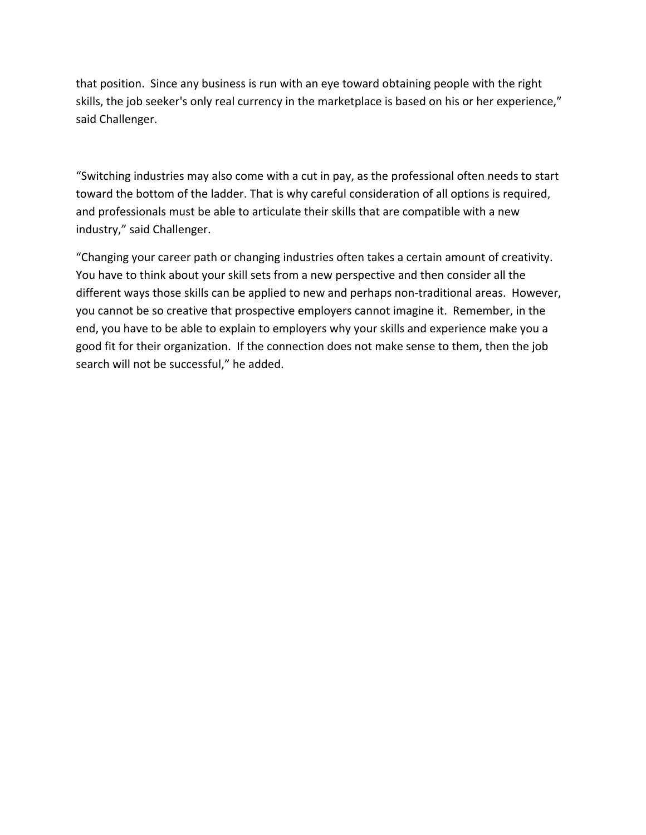that position. Since any business is run with an eye toward obtaining people with the right skills, the job seeker's only real currency in the marketplace is based on his or her experience," said Challenger.

"Switching industries may also come with a cut in pay, as the professional often needs to start toward the bottom of the ladder. That is why careful consideration of all options is required, and professionals must be able to articulate their skills that are compatible with a new industry," said Challenger.

"Changing your career path or changing industries often takes a certain amount of creativity. You have to think about your skill sets from a new perspective and then consider all the different ways those skills can be applied to new and perhaps non-traditional areas. However, you cannot be so creative that prospective employers cannot imagine it. Remember, in the end, you have to be able to explain to employers why your skills and experience make you a good fit for their organization. If the connection does not make sense to them, then the job search will not be successful," he added.